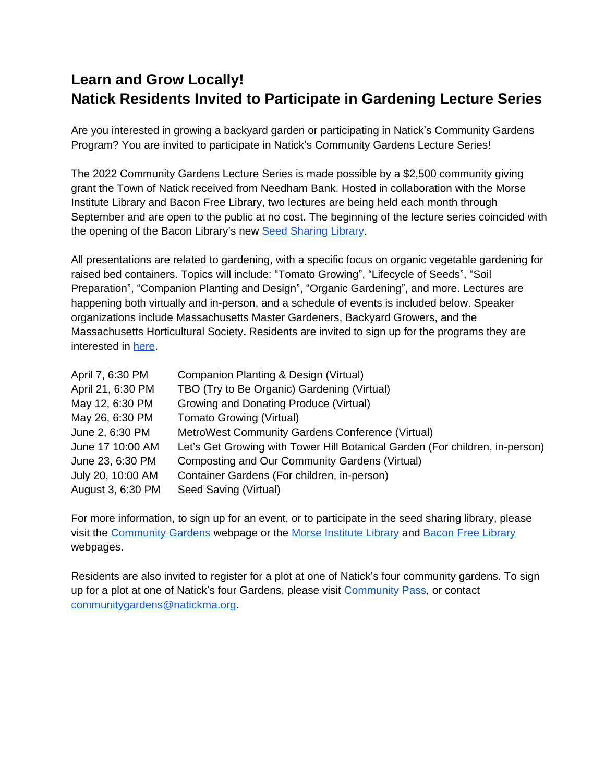## **Learn and Grow Locally! Natick Residents Invited to Participate in Gardening Lecture Series**

Are you interested in growing a backyard garden or participating in Natick's Community Gardens Program? You are invited to participate in Natick's Community Gardens Lecture Series!

The 2022 Community Gardens Lecture Series is made possible by a \$2,500 community giving grant the Town of Natick received from Needham Bank. Hosted in collaboration with the Morse Institute Library and Bacon Free Library, two lectures are being held each month through September and are open to the public at no cost. The beginning of the lecture series coincided with the opening of the Bacon Library's new [Seed Sharing Library.](https://baconfreelibrary.org/news-3/)

All presentations are related to gardening, with a specific focus on organic vegetable gardening for raised bed containers. Topics will include: "Tomato Growing", "Lifecycle of Seeds", "Soil Preparation", "Companion Planting and Design", "Organic Gardening", and more. Lectures are happening both virtually and in-person, and a schedule of events is included below. Speaker organizations include Massachusetts Master Gardeners, Backyard Growers, and the Massachusetts Horticultural Society**.** Residents are invited to sign up for the programs they are interested in [here.](https://docs.google.com/document/u/0/d/1sPGwjPzSn5hu0bhUdpZ1RRhwYRZFF2SxXRx5X44JYrM/edit)

| April 7, 6:30 PM  | Companion Planting & Design (Virtual)                                        |
|-------------------|------------------------------------------------------------------------------|
| April 21, 6:30 PM | TBO (Try to Be Organic) Gardening (Virtual)                                  |
| May 12, 6:30 PM   | Growing and Donating Produce (Virtual)                                       |
| May 26, 6:30 PM   | <b>Tomato Growing (Virtual)</b>                                              |
| June 2, 6:30 PM   | MetroWest Community Gardens Conference (Virtual)                             |
| June 17 10:00 AM  | Let's Get Growing with Tower Hill Botanical Garden (For children, in-person) |
| June 23, 6:30 PM  | Composting and Our Community Gardens (Virtual)                               |
| July 20, 10:00 AM | Container Gardens (For children, in-person)                                  |
| August 3, 6:30 PM | Seed Saving (Virtual)                                                        |

For more information, to sign up for an event, or to participate in the seed sharing library, please visit th[e Community Gardens](https://www.natickma.gov/1273/Community-Gardens) webpage or the [Morse Institute Library](https://morseinstitute.org/) and [Bacon Free Library](https://baconfreelibrary.org/) webpages.

Residents are also invited to register for a plot at one of Natick's four community gardens. To sign up for a plot at one of Natick's four Gardens, please visit [Community Pass](https://register.capturepoint.com/reg/login.cfm?cuBOAvnQ0p4trnasCJNBkrfRqBZdBsM1ugTdgJwcwr%2BLxIFL2ZCtvf%2Fw), or contact [communitygardens@natickma.org](mailto:communitygardens@natickma.org).